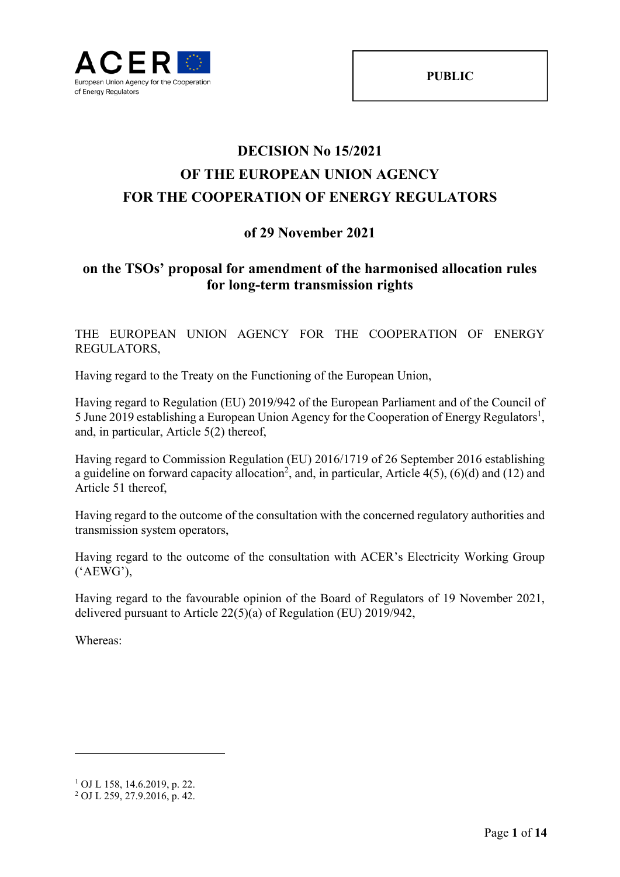# **DECISION No 15/2021 OF THE EUROPEAN UNION AGENCY FOR THE COOPERATION OF ENERGY REGULATORS**

# **of 29 November 2021**

# **on the TSOs' proposal for amendment of the harmonised allocation rules for long-term transmission rights**

THE EUROPEAN UNION AGENCY FOR THE COOPERATION OF ENERGY REGULATORS,

Having regard to the Treaty on the Functioning of the European Union,

Having regard to Regulation (EU) 2019/942 of the European Parliament and of the Council of 5 June 2019 establishing a European Union Agency for the Cooperation of Energy Regulators<sup>1</sup>, and, in particular, Article 5(2) thereof,

Having regard to Commission Regulation (EU) 2016/1719 of 26 September 2016 establishing a guideline on forward capacity allocation<sup>2</sup>, and, in particular, Article  $4(5)$ ,  $(6)(d)$  and  $(12)$  and Article 51 thereof,

Having regard to the outcome of the consultation with the concerned regulatory authorities and transmission system operators,

Having regard to the outcome of the consultation with ACER's Electricity Working Group ('AEWG'),

Having regard to the favourable opinion of the Board of Regulators of 19 November 2021, delivered pursuant to Article 22(5)(a) of Regulation (EU) 2019/942,

Whereas:

<sup>1</sup> OJ L 158, 14.6.2019, p. 22.

<sup>2</sup> OJ L 259, 27.9.2016, p. 42.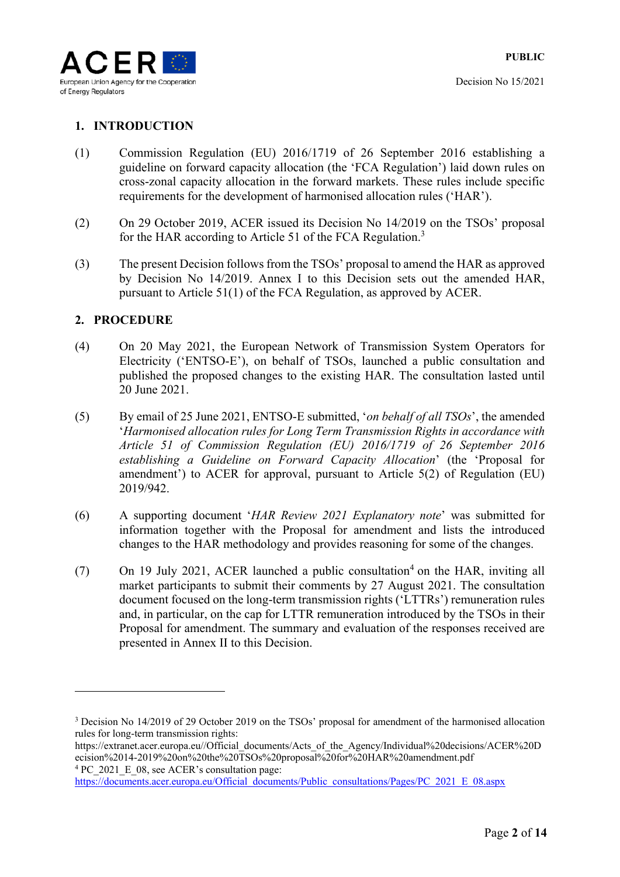

# **1. INTRODUCTION**

- (1) Commission Regulation (EU) 2016/1719 of 26 September 2016 establishing a guideline on forward capacity allocation (the 'FCA Regulation') laid down rules on cross-zonal capacity allocation in the forward markets. These rules include specific requirements for the development of harmonised allocation rules ('HAR').
- (2) On 29 October 2019, ACER issued its Decision No 14/2019 on the TSOs' proposal for the HAR according to Article 51 of the FCA Regulation.<sup>3</sup>
- (3) The present Decision follows from the TSOs' proposal to amend the HAR as approved by Decision No 14/2019. Annex I to this Decision sets out the amended HAR, pursuant to Article 51(1) of the FCA Regulation, as approved by ACER.

# **2. PROCEDURE**

- (4) On 20 May 2021, the European Network of Transmission System Operators for Electricity ('ENTSO-E'), on behalf of TSOs, launched a public consultation and published the proposed changes to the existing HAR. The consultation lasted until 20 June 2021.
- (5) By email of 25 June 2021, ENTSO-E submitted, '*on behalf of all TSOs*', the amended '*Harmonised allocation rules for Long Term Transmission Rights in accordance with Article 51 of Commission Regulation (EU) 2016/1719 of 26 September 2016 establishing a Guideline on Forward Capacity Allocation*' (the 'Proposal for amendment') to ACER for approval, pursuant to Article 5(2) of Regulation (EU) 2019/942.
- (6) A supporting document '*HAR Review 2021 Explanatory note*' was submitted for information together with the Proposal for amendment and lists the introduced changes to the HAR methodology and provides reasoning for some of the changes.
- (7) On 19 July 2021, ACER launched a public consultation<sup>4</sup> on the HAR, inviting all market participants to submit their comments by 27 August 2021. The consultation document focused on the long-term transmission rights ('LTTRs') remuneration rules and, in particular, on the cap for LTTR remuneration introduced by the TSOs in their Proposal for amendment. The summary and evaluation of the responses received are presented in Annex II to this Decision.

<sup>&</sup>lt;sup>3</sup> Decision No 14/2019 of 29 October 2019 on the TSOs' proposal for amendment of the harmonised allocation rules for long-term transmission rights:

https://extranet.acer.europa.eu//Official\_documents/Acts\_of\_the\_Agency/Individual%20decisions/ACER%20D ecision%2014-2019%20on%20the%20TSOs%20proposal%20for%20HAR%20amendment.pdf <sup>4</sup> PC 2021 E 08, see ACER's consultation page:

https://documents.acer.europa.eu/Official\_documents/Public\_consultations/Pages/PC\_2021\_E\_08.aspx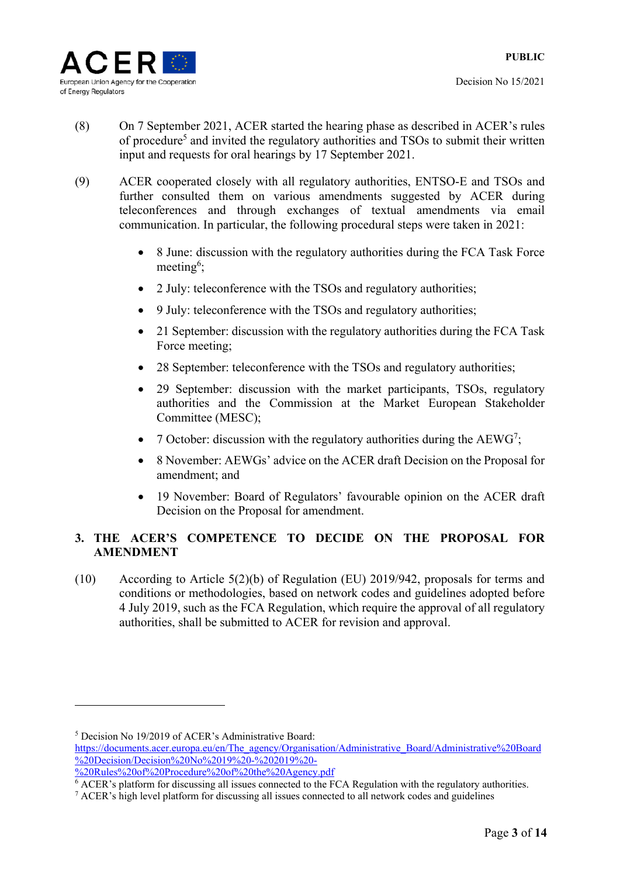

1

- (8) On 7 September 2021, ACER started the hearing phase as described in ACER's rules of procedure<sup>5</sup> and invited the regulatory authorities and TSOs to submit their written input and requests for oral hearings by 17 September 2021.
- (9) ACER cooperated closely with all regulatory authorities, ENTSO-E and TSOs and further consulted them on various amendments suggested by ACER during teleconferences and through exchanges of textual amendments via email communication. In particular, the following procedural steps were taken in 2021:
	- 8 June: discussion with the regulatory authorities during the FCA Task Force meeting<sup>6</sup>;
	- 2 July: teleconference with the TSOs and regulatory authorities;
	- 9 July: teleconference with the TSOs and regulatory authorities;
	- 21 September: discussion with the regulatory authorities during the FCA Task Force meeting;
	- 28 September: teleconference with the TSOs and regulatory authorities;
	- 29 September: discussion with the market participants, TSOs, regulatory authorities and the Commission at the Market European Stakeholder Committee (MESC);
	- 7 October: discussion with the regulatory authorities during the  $A E W G^7$ ;
	- 8 November: AEWGs' advice on the ACER draft Decision on the Proposal for amendment; and
	- 19 November: Board of Regulators' favourable opinion on the ACER draft Decision on the Proposal for amendment.

# **3. THE ACER'S COMPETENCE TO DECIDE ON THE PROPOSAL FOR AMENDMENT**

(10) According to Article 5(2)(b) of Regulation (EU) 2019/942, proposals for terms and conditions or methodologies, based on network codes and guidelines adopted before 4 July 2019, such as the FCA Regulation, which require the approval of all regulatory authorities, shall be submitted to ACER for revision and approval.

<sup>5</sup> Decision No 19/2019 of ACER's Administrative Board: https://documents.acer.europa.eu/en/The\_agency/Organisation/Administrative\_Board/Administrative%20Board  $\frac{1}{200}$ Decision/Decision%20No%2019%20-%202019%20-%20Rules%20of%20Procedure%20of%20the%20Agency.pdf

 $\overline{6}$  ACER's platform for discussing all issues connected to the FCA Regulation with the regulatory authorities.

 $\alpha$  ACER's high level platform for discussing all issues connected to all network codes and guidelines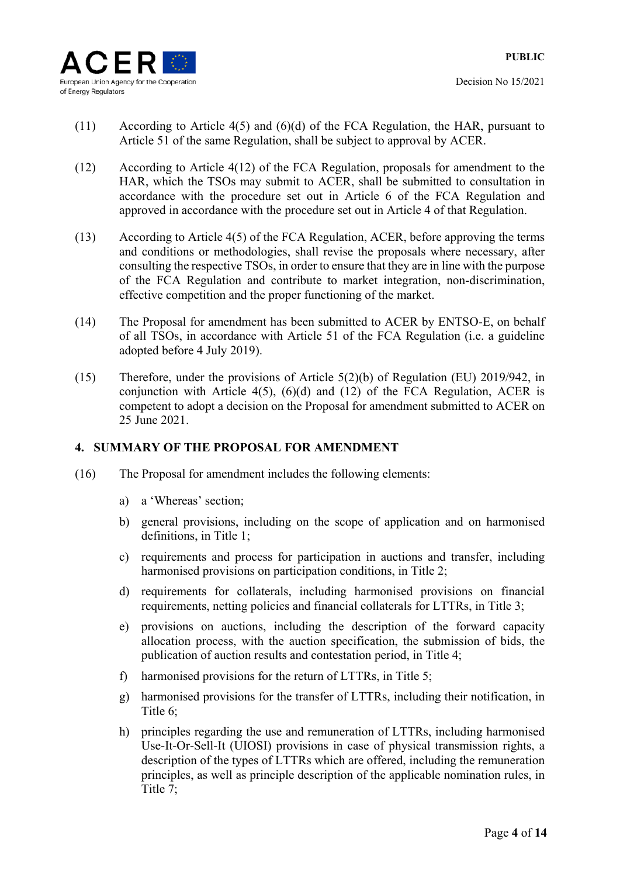

- (11) According to Article 4(5) and (6)(d) of the FCA Regulation, the HAR, pursuant to Article 51 of the same Regulation, shall be subject to approval by ACER.
- (12) According to Article 4(12) of the FCA Regulation, proposals for amendment to the HAR, which the TSOs may submit to ACER, shall be submitted to consultation in accordance with the procedure set out in Article 6 of the FCA Regulation and approved in accordance with the procedure set out in Article 4 of that Regulation.
- (13) According to Article 4(5) of the FCA Regulation, ACER, before approving the terms and conditions or methodologies, shall revise the proposals where necessary, after consulting the respective TSOs, in order to ensure that they are in line with the purpose of the FCA Regulation and contribute to market integration, non-discrimination, effective competition and the proper functioning of the market.
- (14) The Proposal for amendment has been submitted to ACER by ENTSO-E, on behalf of all TSOs, in accordance with Article 51 of the FCA Regulation (i.e. a guideline adopted before 4 July 2019).
- (15) Therefore, under the provisions of Article 5(2)(b) of Regulation (EU) 2019/942, in conjunction with Article  $4(5)$ ,  $(6)(d)$  and  $(12)$  of the FCA Regulation, ACER is competent to adopt a decision on the Proposal for amendment submitted to ACER on 25 June 2021.

#### **4. SUMMARY OF THE PROPOSAL FOR AMENDMENT**

- (16) The Proposal for amendment includes the following elements:
	- a) a 'Whereas' section;
	- b) general provisions, including on the scope of application and on harmonised definitions, in Title 1;
	- c) requirements and process for participation in auctions and transfer, including harmonised provisions on participation conditions, in Title 2;
	- d) requirements for collaterals, including harmonised provisions on financial requirements, netting policies and financial collaterals for LTTRs, in Title 3;
	- e) provisions on auctions, including the description of the forward capacity allocation process, with the auction specification, the submission of bids, the publication of auction results and contestation period, in Title 4;
	- f) harmonised provisions for the return of LTTRs, in Title 5;
	- g) harmonised provisions for the transfer of LTTRs, including their notification, in Title 6;
	- h) principles regarding the use and remuneration of LTTRs, including harmonised Use-It-Or-Sell-It (UIOSI) provisions in case of physical transmission rights, a description of the types of LTTRs which are offered, including the remuneration principles, as well as principle description of the applicable nomination rules, in Title 7;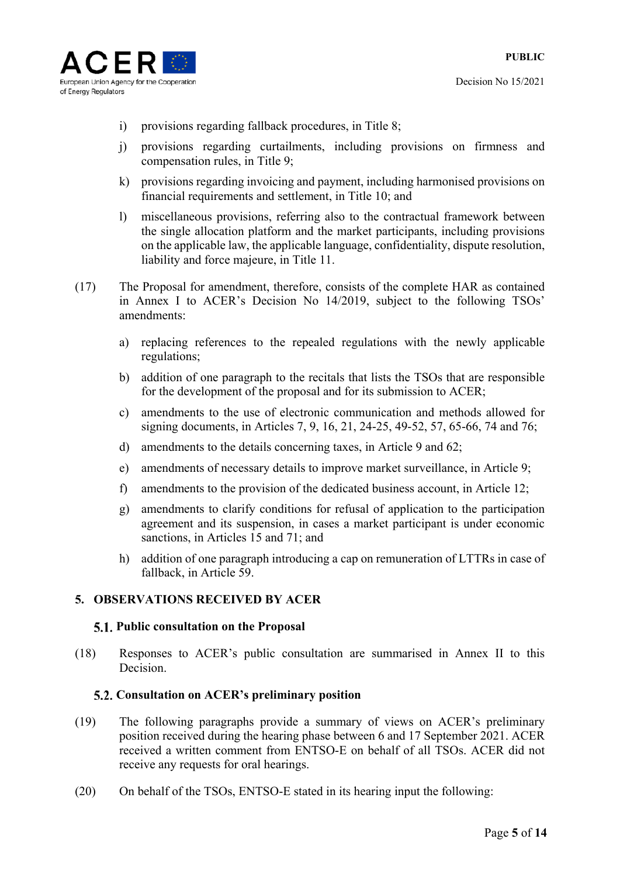

- i) provisions regarding fallback procedures, in Title 8;
- j) provisions regarding curtailments, including provisions on firmness and compensation rules, in Title 9;
- k) provisions regarding invoicing and payment, including harmonised provisions on financial requirements and settlement, in Title 10; and
- l) miscellaneous provisions, referring also to the contractual framework between the single allocation platform and the market participants, including provisions on the applicable law, the applicable language, confidentiality, dispute resolution, liability and force majeure, in Title 11.
- (17) The Proposal for amendment, therefore, consists of the complete HAR as contained in Annex I to ACER's Decision No 14/2019, subject to the following TSOs' amendments:
	- a) replacing references to the repealed regulations with the newly applicable regulations;
	- b) addition of one paragraph to the recitals that lists the TSOs that are responsible for the development of the proposal and for its submission to ACER;
	- c) amendments to the use of electronic communication and methods allowed for signing documents, in Articles 7, 9, 16, 21, 24-25, 49-52, 57, 65-66, 74 and 76;
	- d) amendments to the details concerning taxes, in Article 9 and 62;
	- e) amendments of necessary details to improve market surveillance, in Article 9;
	- f) amendments to the provision of the dedicated business account, in Article 12;
	- g) amendments to clarify conditions for refusal of application to the participation agreement and its suspension, in cases a market participant is under economic sanctions, in Articles 15 and 71; and
	- h) addition of one paragraph introducing a cap on remuneration of LTTRs in case of fallback, in Article 59.

# **5. OBSERVATIONS RECEIVED BY ACER**

#### **Public consultation on the Proposal**

(18) Responses to ACER's public consultation are summarised in Annex II to this Decision.

# **Consultation on ACER's preliminary position**

- (19) The following paragraphs provide a summary of views on ACER's preliminary position received during the hearing phase between 6 and 17 September 2021. ACER received a written comment from ENTSO-E on behalf of all TSOs. ACER did not receive any requests for oral hearings.
- (20) On behalf of the TSOs, ENTSO-E stated in its hearing input the following: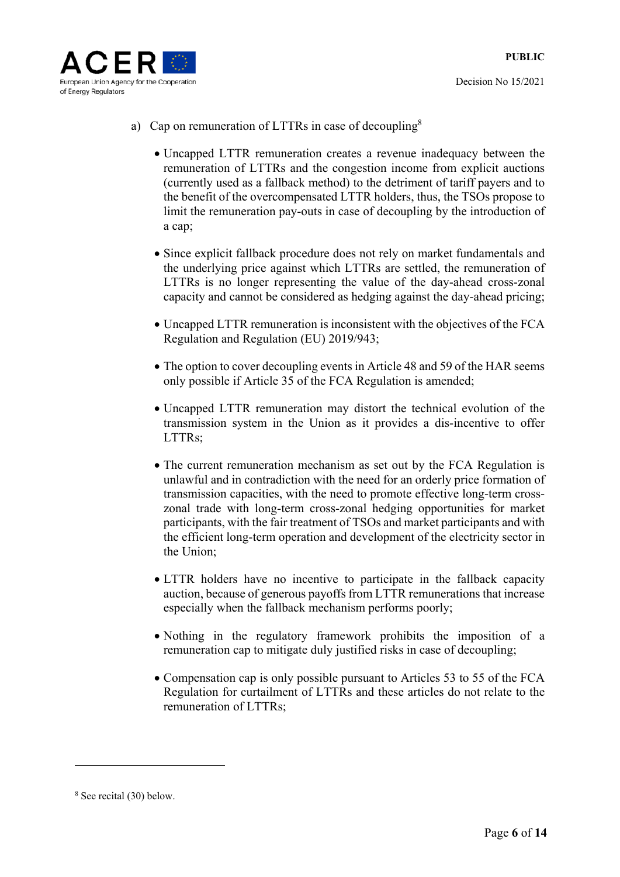

- a) Cap on remuneration of LTTRs in case of decoupling<sup>8</sup>
	- Uncapped LTTR remuneration creates a revenue inadequacy between the remuneration of LTTRs and the congestion income from explicit auctions (currently used as a fallback method) to the detriment of tariff payers and to the benefit of the overcompensated LTTR holders, thus, the TSOs propose to limit the remuneration pay-outs in case of decoupling by the introduction of a cap;
	- Since explicit fallback procedure does not rely on market fundamentals and the underlying price against which LTTRs are settled, the remuneration of LTTRs is no longer representing the value of the day-ahead cross-zonal capacity and cannot be considered as hedging against the day-ahead pricing;
	- Uncapped LTTR remuneration is inconsistent with the objectives of the FCA Regulation and Regulation (EU) 2019/943;
	- The option to cover decoupling events in Article 48 and 59 of the HAR seems only possible if Article 35 of the FCA Regulation is amended;
	- Uncapped LTTR remuneration may distort the technical evolution of the transmission system in the Union as it provides a dis-incentive to offer LTTRs;
	- The current remuneration mechanism as set out by the FCA Regulation is unlawful and in contradiction with the need for an orderly price formation of transmission capacities, with the need to promote effective long-term crosszonal trade with long-term cross-zonal hedging opportunities for market participants, with the fair treatment of TSOs and market participants and with the efficient long-term operation and development of the electricity sector in the Union;
	- LTTR holders have no incentive to participate in the fallback capacity auction, because of generous payoffs from LTTR remunerations that increase especially when the fallback mechanism performs poorly;
	- Nothing in the regulatory framework prohibits the imposition of a remuneration cap to mitigate duly justified risks in case of decoupling;
	- Compensation cap is only possible pursuant to Articles 53 to 55 of the FCA Regulation for curtailment of LTTRs and these articles do not relate to the remuneration of LTTRs;

<u>.</u>

<sup>8</sup> See recital (30) below.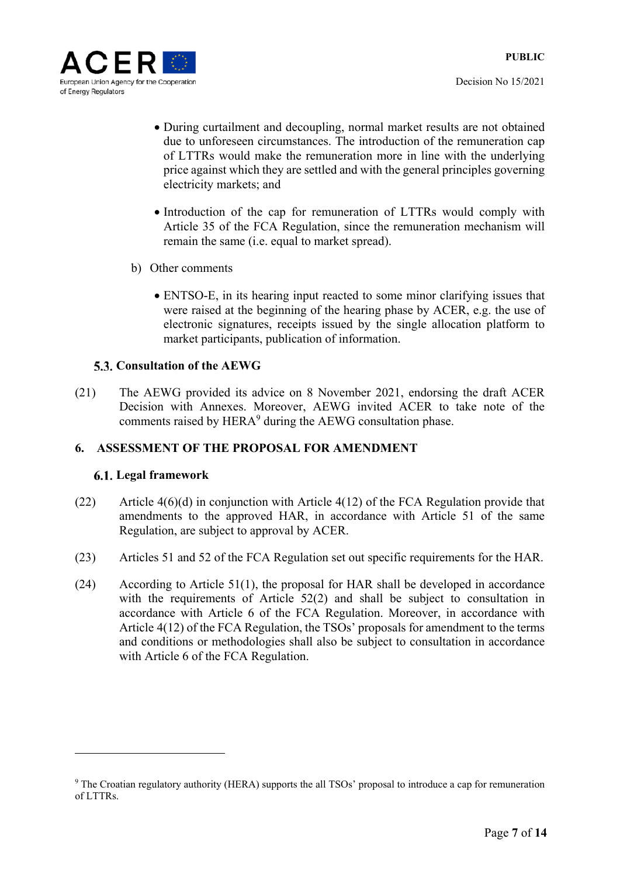

- During curtailment and decoupling, normal market results are not obtained due to unforeseen circumstances. The introduction of the remuneration cap of LTTRs would make the remuneration more in line with the underlying price against which they are settled and with the general principles governing electricity markets; and
- Introduction of the cap for remuneration of LTTRs would comply with Article 35 of the FCA Regulation, since the remuneration mechanism will remain the same (i.e. equal to market spread).
- b) Other comments
	- ENTSO-E, in its hearing input reacted to some minor clarifying issues that were raised at the beginning of the hearing phase by ACER, e.g. the use of electronic signatures, receipts issued by the single allocation platform to market participants, publication of information.

# **5.3. Consultation of the AEWG**

(21) The AEWG provided its advice on 8 November 2021, endorsing the draft ACER Decision with Annexes. Moreover, AEWG invited ACER to take note of the comments raised by  $HERA<sup>9</sup>$  during the AEWG consultation phase.

# **6. ASSESSMENT OF THE PROPOSAL FOR AMENDMENT**

#### **Legal framework**

- (22) Article 4(6)(d) in conjunction with Article 4(12) of the FCA Regulation provide that amendments to the approved HAR, in accordance with Article 51 of the same Regulation, are subject to approval by ACER.
- (23) Articles 51 and 52 of the FCA Regulation set out specific requirements for the HAR.
- (24) According to Article 51(1), the proposal for HAR shall be developed in accordance with the requirements of Article 52(2) and shall be subject to consultation in accordance with Article 6 of the FCA Regulation. Moreover, in accordance with Article 4(12) of the FCA Regulation, the TSOs' proposals for amendment to the terms and conditions or methodologies shall also be subject to consultation in accordance with Article 6 of the FCA Regulation.

<sup>&</sup>lt;sup>9</sup> The Croatian regulatory authority (HERA) supports the all TSOs' proposal to introduce a cap for remuneration of LTTRs.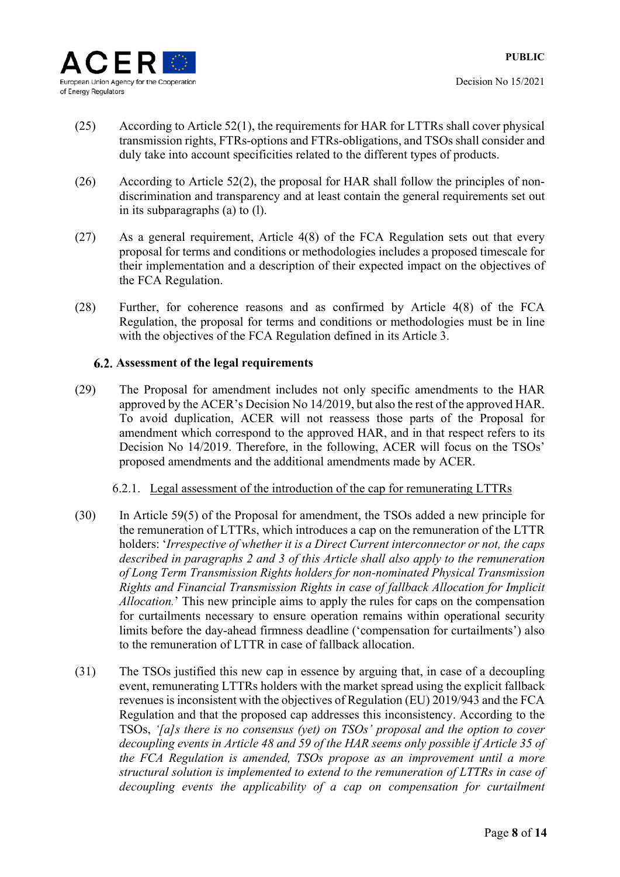

- (25) According to Article 52(1), the requirements for HAR for LTTRs shall cover physical transmission rights, FTRs-options and FTRs-obligations, and TSOs shall consider and duly take into account specificities related to the different types of products.
- (26) According to Article 52(2), the proposal for HAR shall follow the principles of nondiscrimination and transparency and at least contain the general requirements set out in its subparagraphs (a) to (l).
- (27) As a general requirement, Article 4(8) of the FCA Regulation sets out that every proposal for terms and conditions or methodologies includes a proposed timescale for their implementation and a description of their expected impact on the objectives of the FCA Regulation.
- (28) Further, for coherence reasons and as confirmed by Article 4(8) of the FCA Regulation, the proposal for terms and conditions or methodologies must be in line with the objectives of the FCA Regulation defined in its Article 3.

# **Assessment of the legal requirements**

(29) The Proposal for amendment includes not only specific amendments to the HAR approved by the ACER's Decision No 14/2019, but also the rest of the approved HAR. To avoid duplication, ACER will not reassess those parts of the Proposal for amendment which correspond to the approved HAR, and in that respect refers to its Decision No 14/2019. Therefore, in the following, ACER will focus on the TSOs' proposed amendments and the additional amendments made by ACER.

#### 6.2.1. Legal assessment of the introduction of the cap for remunerating LTTRs

- (30) In Article 59(5) of the Proposal for amendment, the TSOs added a new principle for the remuneration of LTTRs, which introduces a cap on the remuneration of the LTTR holders: '*Irrespective of whether it is a Direct Current interconnector or not, the caps described in paragraphs 2 and 3 of this Article shall also apply to the remuneration of Long Term Transmission Rights holders for non-nominated Physical Transmission Rights and Financial Transmission Rights in case of fallback Allocation for Implicit Allocation.*' This new principle aims to apply the rules for caps on the compensation for curtailments necessary to ensure operation remains within operational security limits before the day-ahead firmness deadline ('compensation for curtailments') also to the remuneration of LTTR in case of fallback allocation.
- (31) The TSOs justified this new cap in essence by arguing that, in case of a decoupling event, remunerating LTTRs holders with the market spread using the explicit fallback revenues is inconsistent with the objectives of Regulation (EU) 2019/943 and the FCA Regulation and that the proposed cap addresses this inconsistency. According to the TSOs, *'[a]s there is no consensus (yet) on TSOs' proposal and the option to cover decoupling events in Article 48 and 59 of the HAR seems only possible if Article 35 of the FCA Regulation is amended, TSOs propose as an improvement until a more structural solution is implemented to extend to the remuneration of LTTRs in case of decoupling events the applicability of a cap on compensation for curtailment*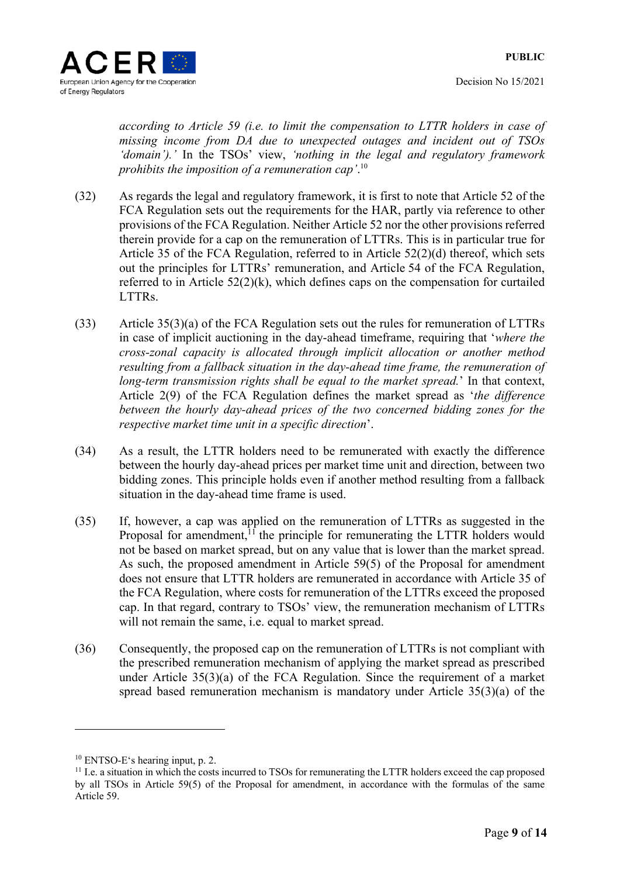Decision No 15/2021

*according to Article 59 (i.e. to limit the compensation to LTTR holders in case of missing income from DA due to unexpected outages and incident out of TSOs 'domain').'* In the TSOs' view, *'nothing in the legal and regulatory framework prohibits the imposition of a remuneration cap'*. 10

- (32) As regards the legal and regulatory framework, it is first to note that Article 52 of the FCA Regulation sets out the requirements for the HAR, partly via reference to other provisions of the FCA Regulation. Neither Article 52 nor the other provisions referred therein provide for a cap on the remuneration of LTTRs. This is in particular true for Article 35 of the FCA Regulation, referred to in Article 52(2)(d) thereof, which sets out the principles for LTTRs' remuneration, and Article 54 of the FCA Regulation, referred to in Article 52(2)(k), which defines caps on the compensation for curtailed LTTRs.
- (33) Article 35(3)(a) of the FCA Regulation sets out the rules for remuneration of LTTRs in case of implicit auctioning in the day-ahead timeframe, requiring that '*where the cross-zonal capacity is allocated through implicit allocation or another method resulting from a fallback situation in the day-ahead time frame, the remuneration of long-term transmission rights shall be equal to the market spread.*' In that context, Article 2(9) of the FCA Regulation defines the market spread as '*the difference between the hourly day-ahead prices of the two concerned bidding zones for the respective market time unit in a specific direction*'.
- (34) As a result, the LTTR holders need to be remunerated with exactly the difference between the hourly day-ahead prices per market time unit and direction, between two bidding zones. This principle holds even if another method resulting from a fallback situation in the day-ahead time frame is used.
- (35) If, however, a cap was applied on the remuneration of LTTRs as suggested in the Proposal for amendment, $<sup>11</sup>$  the principle for remunerating the LTTR holders would</sup> not be based on market spread, but on any value that is lower than the market spread. As such, the proposed amendment in Article 59(5) of the Proposal for amendment does not ensure that LTTR holders are remunerated in accordance with Article 35 of the FCA Regulation, where costs for remuneration of the LTTRs exceed the proposed cap. In that regard, contrary to TSOs' view, the remuneration mechanism of LTTRs will not remain the same, i.e. equal to market spread.
- (36) Consequently, the proposed cap on the remuneration of LTTRs is not compliant with the prescribed remuneration mechanism of applying the market spread as prescribed under Article 35(3)(a) of the FCA Regulation. Since the requirement of a market spread based remuneration mechanism is mandatory under Article 35(3)(a) of the

-

<sup>10</sup> ENTSO-E's hearing input, p. 2.

<sup>&</sup>lt;sup>11</sup> I.e. a situation in which the costs incurred to TSOs for remunerating the LTTR holders exceed the cap proposed by all TSOs in Article 59(5) of the Proposal for amendment, in accordance with the formulas of the same Article 59.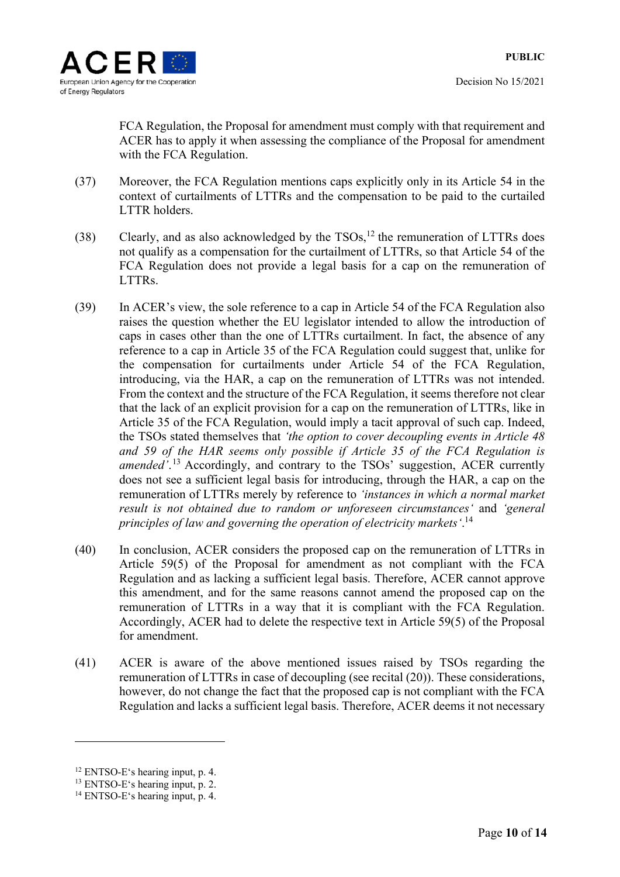

FCA Regulation, the Proposal for amendment must comply with that requirement and ACER has to apply it when assessing the compliance of the Proposal for amendment with the FCA Regulation.

- (37) Moreover, the FCA Regulation mentions caps explicitly only in its Article 54 in the context of curtailments of LTTRs and the compensation to be paid to the curtailed LTTR holders.
- (38) Clearly, and as also acknowledged by the  $TSOs$ ,<sup>12</sup> the remuneration of LTTRs does not qualify as a compensation for the curtailment of LTTRs, so that Article 54 of the FCA Regulation does not provide a legal basis for a cap on the remuneration of LTTRs.
- (39) In ACER's view, the sole reference to a cap in Article 54 of the FCA Regulation also raises the question whether the EU legislator intended to allow the introduction of caps in cases other than the one of LTTRs curtailment. In fact, the absence of any reference to a cap in Article 35 of the FCA Regulation could suggest that, unlike for the compensation for curtailments under Article 54 of the FCA Regulation, introducing, via the HAR, a cap on the remuneration of LTTRs was not intended. From the context and the structure of the FCA Regulation, it seems therefore not clear that the lack of an explicit provision for a cap on the remuneration of LTTRs, like in Article 35 of the FCA Regulation, would imply a tacit approval of such cap. Indeed, the TSOs stated themselves that *'the option to cover decoupling events in Article 48 and 59 of the HAR seems only possible if Article 35 of the FCA Regulation is amended'*. <sup>13</sup> Accordingly, and contrary to the TSOs' suggestion, ACER currently does not see a sufficient legal basis for introducing, through the HAR, a cap on the remuneration of LTTRs merely by reference to *'instances in which a normal market result is not obtained due to random or unforeseen circumstances'* and *'general principles of law and governing the operation of electricity markets'*. 14
- (40) In conclusion, ACER considers the proposed cap on the remuneration of LTTRs in Article 59(5) of the Proposal for amendment as not compliant with the FCA Regulation and as lacking a sufficient legal basis. Therefore, ACER cannot approve this amendment, and for the same reasons cannot amend the proposed cap on the remuneration of LTTRs in a way that it is compliant with the FCA Regulation. Accordingly, ACER had to delete the respective text in Article 59(5) of the Proposal for amendment.
- (41) ACER is aware of the above mentioned issues raised by TSOs regarding the remuneration of LTTRs in case of decoupling (see recital (20)). These considerations, however, do not change the fact that the proposed cap is not compliant with the FCA Regulation and lacks a sufficient legal basis. Therefore, ACER deems it not necessary

<sup>12</sup> ENTSO-E's hearing input, p. 4.

<sup>13</sup> ENTSO-E's hearing input, p. 2.

<sup>&</sup>lt;sup>14</sup> ENTSO-E's hearing input, p. 4.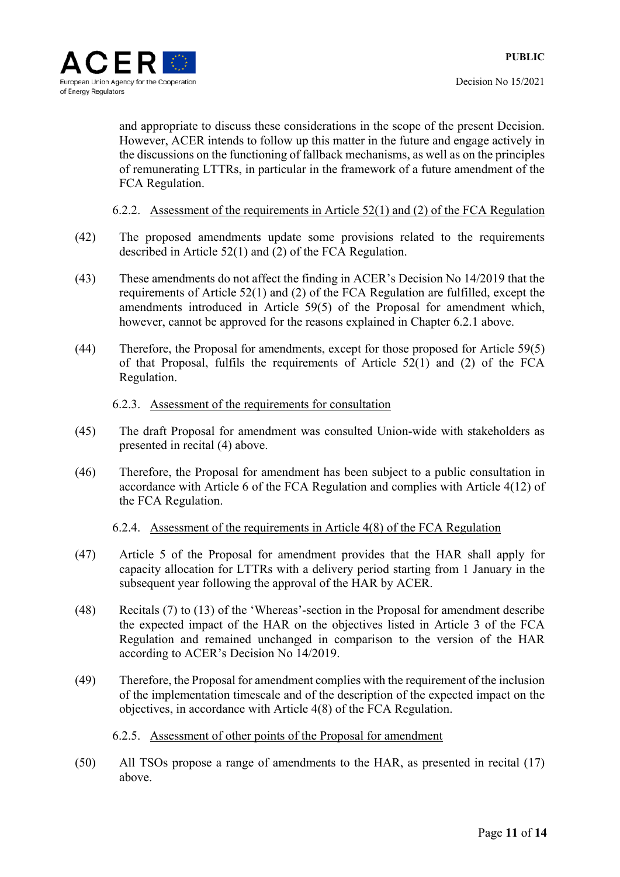and appropriate to discuss these considerations in the scope of the present Decision. However, ACER intends to follow up this matter in the future and engage actively in the discussions on the functioning of fallback mechanisms, as well as on the principles of remunerating LTTRs, in particular in the framework of a future amendment of the FCA Regulation.

### 6.2.2. Assessment of the requirements in Article 52(1) and (2) of the FCA Regulation

- (42) The proposed amendments update some provisions related to the requirements described in Article 52(1) and (2) of the FCA Regulation.
- (43) These amendments do not affect the finding in ACER's Decision No 14/2019 that the requirements of Article 52(1) and (2) of the FCA Regulation are fulfilled, except the amendments introduced in Article 59(5) of the Proposal for amendment which, however, cannot be approved for the reasons explained in Chapter 6.2.1 above.
- (44) Therefore, the Proposal for amendments, except for those proposed for Article 59(5) of that Proposal, fulfils the requirements of Article 52(1) and (2) of the FCA Regulation.

#### 6.2.3. Assessment of the requirements for consultation

- (45) The draft Proposal for amendment was consulted Union-wide with stakeholders as presented in recital (4) above.
- (46) Therefore, the Proposal for amendment has been subject to a public consultation in accordance with Article 6 of the FCA Regulation and complies with Article 4(12) of the FCA Regulation.

#### 6.2.4. Assessment of the requirements in Article 4(8) of the FCA Regulation

- (47) Article 5 of the Proposal for amendment provides that the HAR shall apply for capacity allocation for LTTRs with a delivery period starting from 1 January in the subsequent year following the approval of the HAR by ACER.
- (48) Recitals (7) to (13) of the 'Whereas'-section in the Proposal for amendment describe the expected impact of the HAR on the objectives listed in Article 3 of the FCA Regulation and remained unchanged in comparison to the version of the HAR according to ACER's Decision No 14/2019.
- (49) Therefore, the Proposal for amendment complies with the requirement of the inclusion of the implementation timescale and of the description of the expected impact on the objectives, in accordance with Article 4(8) of the FCA Regulation.

#### 6.2.5. Assessment of other points of the Proposal for amendment

(50) All TSOs propose a range of amendments to the HAR, as presented in recital (17) above.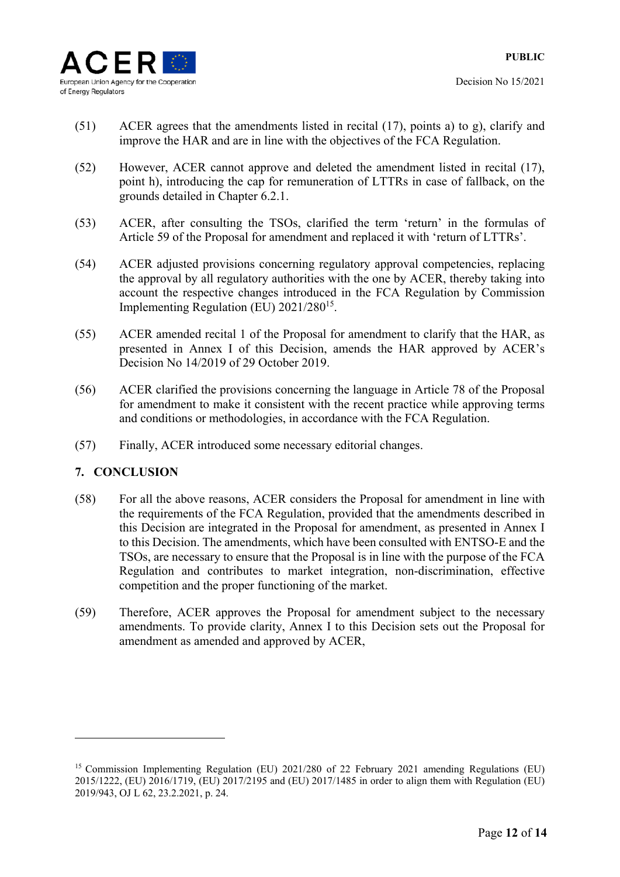

- (51) ACER agrees that the amendments listed in recital (17), points a) to g), clarify and improve the HAR and are in line with the objectives of the FCA Regulation.
- (52) However, ACER cannot approve and deleted the amendment listed in recital (17), point h), introducing the cap for remuneration of LTTRs in case of fallback, on the grounds detailed in Chapter 6.2.1.
- (53) ACER, after consulting the TSOs, clarified the term 'return' in the formulas of Article 59 of the Proposal for amendment and replaced it with 'return of LTTRs'.
- (54) ACER adjusted provisions concerning regulatory approval competencies, replacing the approval by all regulatory authorities with the one by ACER, thereby taking into account the respective changes introduced in the FCA Regulation by Commission Implementing Regulation (EU) 2021/28015.
- (55) ACER amended recital 1 of the Proposal for amendment to clarify that the HAR, as presented in Annex I of this Decision, amends the HAR approved by ACER's Decision No 14/2019 of 29 October 2019.
- (56) ACER clarified the provisions concerning the language in Article 78 of the Proposal for amendment to make it consistent with the recent practice while approving terms and conditions or methodologies, in accordance with the FCA Regulation.
- (57) Finally, ACER introduced some necessary editorial changes.

# **7. CONCLUSION**

- (58) For all the above reasons, ACER considers the Proposal for amendment in line with the requirements of the FCA Regulation, provided that the amendments described in this Decision are integrated in the Proposal for amendment, as presented in Annex I to this Decision. The amendments, which have been consulted with ENTSO-E and the TSOs, are necessary to ensure that the Proposal is in line with the purpose of the FCA Regulation and contributes to market integration, non-discrimination, effective competition and the proper functioning of the market.
- (59) Therefore, ACER approves the Proposal for amendment subject to the necessary amendments. To provide clarity, Annex I to this Decision sets out the Proposal for amendment as amended and approved by ACER,

<sup>15</sup> Commission Implementing Regulation (EU) 2021/280 of 22 February 2021 amending Regulations (EU) 2015/1222, (EU) 2016/1719, (EU) 2017/2195 and (EU) 2017/1485 in order to align them with Regulation (EU) 2019/943, OJ L 62, 23.2.2021, p. 24.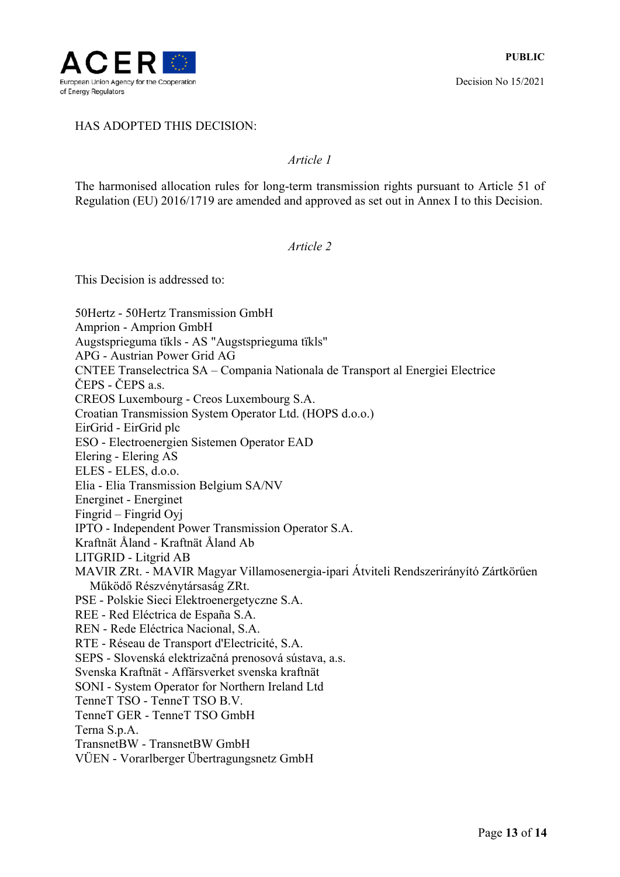

Decision No 15/2021

### HAS ADOPTED THIS DECISION:

#### *Article 1*

The harmonised allocation rules for long-term transmission rights pursuant to Article 51 of Regulation (EU) 2016/1719 are amended and approved as set out in Annex I to this Decision.

#### *Article 2*

This Decision is addressed to:

50Hertz - 50Hertz Transmission GmbH Amprion - Amprion GmbH Augstsprieguma tïkls - AS "Augstsprieguma tïkls" APG - Austrian Power Grid AG CNTEE Transelectrica SA – Compania Nationala de Transport al Energiei Electrice ČEPS - ČEPS a.s. CREOS Luxembourg - Creos Luxembourg S.A. Croatian Transmission System Operator Ltd. (HOPS d.o.o.) EirGrid - EirGrid plc ESO - Electroenergien Sistemen Operator EAD Elering - Elering AS ELES - ELES, d.o.o. Elia - Elia Transmission Belgium SA/NV Energinet - Energinet Fingrid – Fingrid Oyj IPTO - Independent Power Transmission Operator S.A. Kraftnät Åland - Kraftnät Åland Ab LITGRID - Litgrid AB MAVIR ZRt. - MAVIR Magyar Villamosenergia-ipari Átviteli Rendszerirányító Zártkörűen Működő Részvénytársaság ZRt. PSE - Polskie Sieci Elektroenergetyczne S.A. REE - Red Eléctrica de España S.A. REN - Rede Eléctrica Nacional, S.A. RTE - Réseau de Transport d'Electricité, S.A. SEPS - Slovenská elektrizačná prenosová sústava, a.s. Svenska Kraftnät - Affärsverket svenska kraftnät SONI - System Operator for Northern Ireland Ltd TenneT TSO - TenneT TSO B.V. TenneT GER - TenneT TSO GmbH Terna S.p.A. TransnetBW - TransnetBW GmbH VÜEN - Vorarlberger Übertragungsnetz GmbH